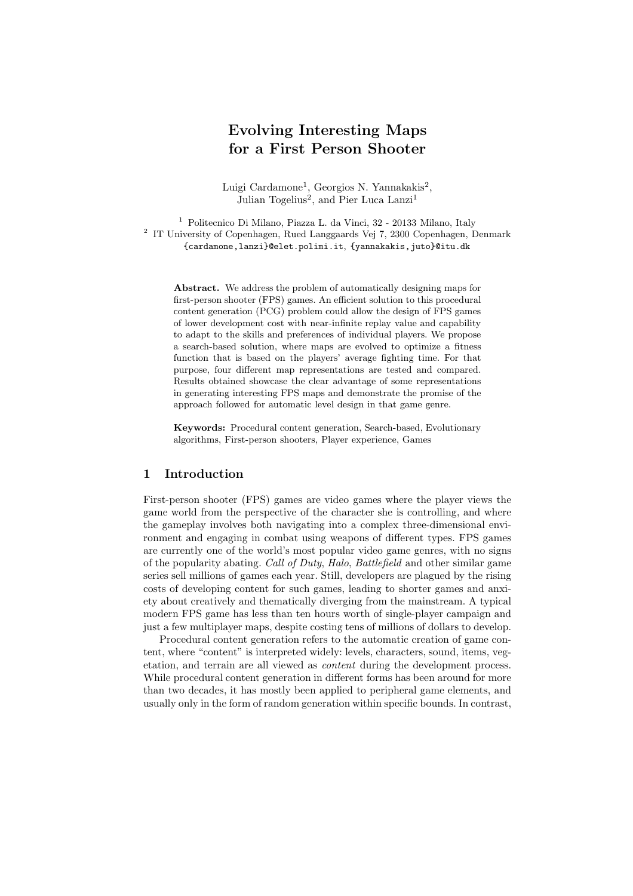# Evolving Interesting Maps for a First Person Shooter

Luigi Cardamone<sup>1</sup>, Georgios N. Yannakakis<sup>2</sup>, Julian Togelius<sup>2</sup>, and Pier Luca Lanzi<sup>1</sup>

<sup>1</sup> Politecnico Di Milano, Piazza L. da Vinci, 32 - 20133 Milano, Italy 2 IT University of Copenhagen, Rued Langgaards Vej 7, 2300 Copenhagen, Denmark {cardamone,lanzi}@elet.polimi.it, {yannakakis,juto}@itu.dk

Abstract. We address the problem of automatically designing maps for first-person shooter (FPS) games. An efficient solution to this procedural content generation (PCG) problem could allow the design of FPS games of lower development cost with near-infinite replay value and capability to adapt to the skills and preferences of individual players. We propose a search-based solution, where maps are evolved to optimize a fitness function that is based on the players' average fighting time. For that purpose, four different map representations are tested and compared. Results obtained showcase the clear advantage of some representations in generating interesting FPS maps and demonstrate the promise of the approach followed for automatic level design in that game genre.

Keywords: Procedural content generation, Search-based, Evolutionary algorithms, First-person shooters, Player experience, Games

## 1 Introduction

First-person shooter (FPS) games are video games where the player views the game world from the perspective of the character she is controlling, and where the gameplay involves both navigating into a complex three-dimensional environment and engaging in combat using weapons of different types. FPS games are currently one of the world's most popular video game genres, with no signs of the popularity abating. Call of Duty, Halo, Battlefield and other similar game series sell millions of games each year. Still, developers are plagued by the rising costs of developing content for such games, leading to shorter games and anxiety about creatively and thematically diverging from the mainstream. A typical modern FPS game has less than ten hours worth of single-player campaign and just a few multiplayer maps, despite costing tens of millions of dollars to develop.

Procedural content generation refers to the automatic creation of game content, where "content" is interpreted widely: levels, characters, sound, items, vegetation, and terrain are all viewed as content during the development process. While procedural content generation in different forms has been around for more than two decades, it has mostly been applied to peripheral game elements, and usually only in the form of random generation within specific bounds. In contrast,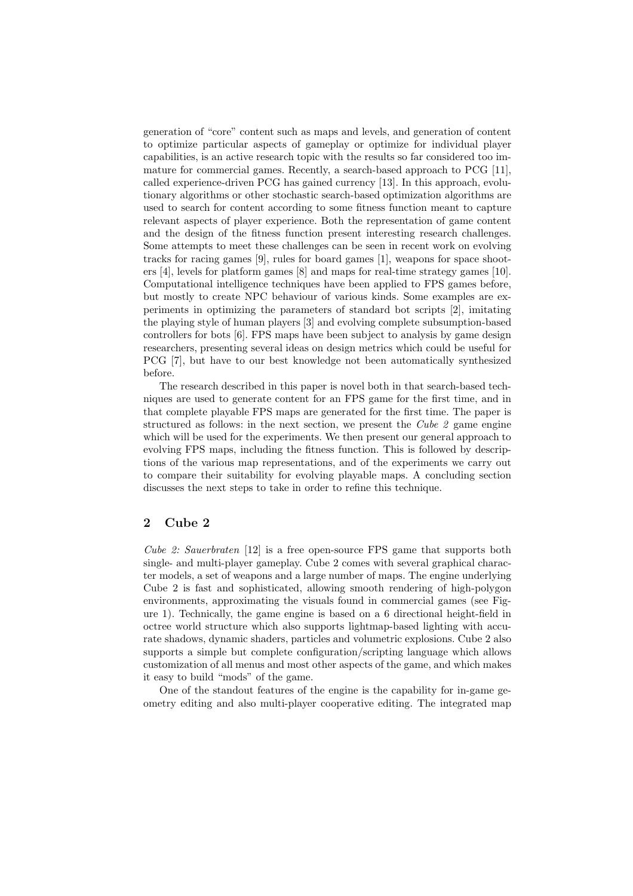generation of "core" content such as maps and levels, and generation of content to optimize particular aspects of gameplay or optimize for individual player capabilities, is an active research topic with the results so far considered too immature for commercial games. Recently, a search-based approach to PCG [11], called experience-driven PCG has gained currency [13]. In this approach, evolutionary algorithms or other stochastic search-based optimization algorithms are used to search for content according to some fitness function meant to capture relevant aspects of player experience. Both the representation of game content and the design of the fitness function present interesting research challenges. Some attempts to meet these challenges can be seen in recent work on evolving tracks for racing games [9], rules for board games [1], weapons for space shooters [4], levels for platform games [8] and maps for real-time strategy games [10]. Computational intelligence techniques have been applied to FPS games before, but mostly to create NPC behaviour of various kinds. Some examples are experiments in optimizing the parameters of standard bot scripts [2], imitating the playing style of human players [3] and evolving complete subsumption-based controllers for bots [6]. FPS maps have been subject to analysis by game design researchers, presenting several ideas on design metrics which could be useful for PCG [7], but have to our best knowledge not been automatically synthesized before.

The research described in this paper is novel both in that search-based techniques are used to generate content for an FPS game for the first time, and in that complete playable FPS maps are generated for the first time. The paper is structured as follows: in the next section, we present the Cube 2 game engine which will be used for the experiments. We then present our general approach to evolving FPS maps, including the fitness function. This is followed by descriptions of the various map representations, and of the experiments we carry out to compare their suitability for evolving playable maps. A concluding section discusses the next steps to take in order to refine this technique.

## 2 Cube 2

Cube 2: Sauerbraten [12] is a free open-source FPS game that supports both single- and multi-player gameplay. Cube 2 comes with several graphical character models, a set of weapons and a large number of maps. The engine underlying Cube 2 is fast and sophisticated, allowing smooth rendering of high-polygon environments, approximating the visuals found in commercial games (see Figure 1). Technically, the game engine is based on a 6 directional height-field in octree world structure which also supports lightmap-based lighting with accurate shadows, dynamic shaders, particles and volumetric explosions. Cube 2 also supports a simple but complete configuration/scripting language which allows customization of all menus and most other aspects of the game, and which makes it easy to build "mods" of the game.

One of the standout features of the engine is the capability for in-game geometry editing and also multi-player cooperative editing. The integrated map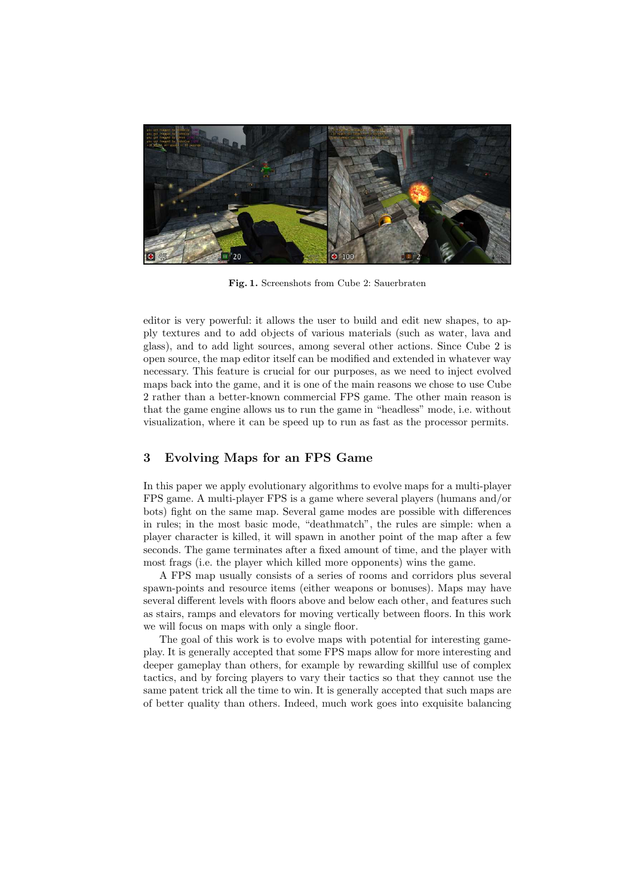

Fig. 1. Screenshots from Cube 2: Sauerbraten

editor is very powerful: it allows the user to build and edit new shapes, to apply textures and to add objects of various materials (such as water, lava and glass), and to add light sources, among several other actions. Since Cube 2 is open source, the map editor itself can be modified and extended in whatever way necessary. This feature is crucial for our purposes, as we need to inject evolved maps back into the game, and it is one of the main reasons we chose to use Cube 2 rather than a better-known commercial FPS game. The other main reason is that the game engine allows us to run the game in "headless" mode, i.e. without visualization, where it can be speed up to run as fast as the processor permits.

## 3 Evolving Maps for an FPS Game

In this paper we apply evolutionary algorithms to evolve maps for a multi-player FPS game. A multi-player FPS is a game where several players (humans and/or bots) fight on the same map. Several game modes are possible with differences in rules; in the most basic mode, "deathmatch", the rules are simple: when a player character is killed, it will spawn in another point of the map after a few seconds. The game terminates after a fixed amount of time, and the player with most frags (i.e. the player which killed more opponents) wins the game.

A FPS map usually consists of a series of rooms and corridors plus several spawn-points and resource items (either weapons or bonuses). Maps may have several different levels with floors above and below each other, and features such as stairs, ramps and elevators for moving vertically between floors. In this work we will focus on maps with only a single floor.

The goal of this work is to evolve maps with potential for interesting gameplay. It is generally accepted that some FPS maps allow for more interesting and deeper gameplay than others, for example by rewarding skillful use of complex tactics, and by forcing players to vary their tactics so that they cannot use the same patent trick all the time to win. It is generally accepted that such maps are of better quality than others. Indeed, much work goes into exquisite balancing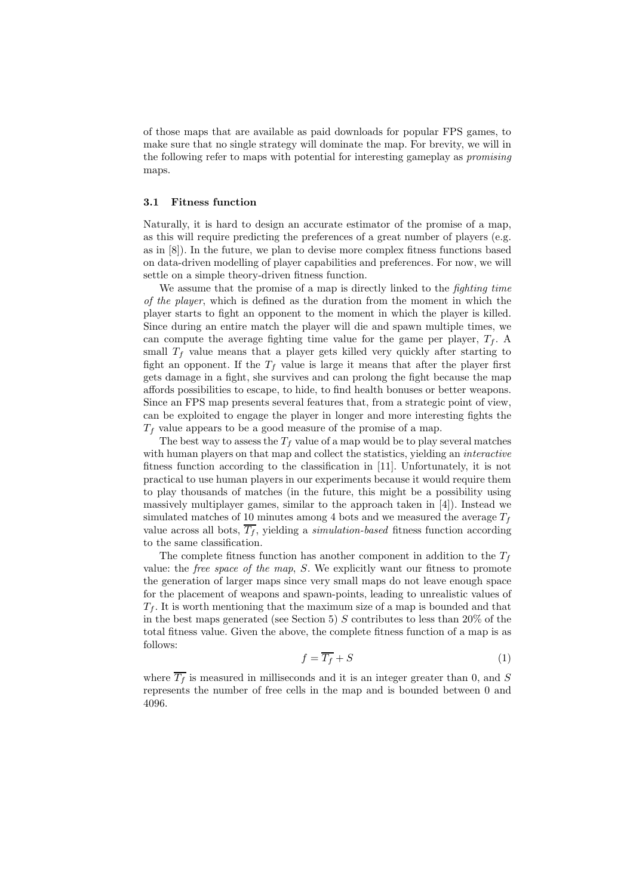of those maps that are available as paid downloads for popular FPS games, to make sure that no single strategy will dominate the map. For brevity, we will in the following refer to maps with potential for interesting gameplay as promising maps.

#### 3.1 Fitness function

Naturally, it is hard to design an accurate estimator of the promise of a map, as this will require predicting the preferences of a great number of players (e.g. as in [8]). In the future, we plan to devise more complex fitness functions based on data-driven modelling of player capabilities and preferences. For now, we will settle on a simple theory-driven fitness function.

We assume that the promise of a map is directly linked to the *fighting time* of the player, which is defined as the duration from the moment in which the player starts to fight an opponent to the moment in which the player is killed. Since during an entire match the player will die and spawn multiple times, we can compute the average fighting time value for the game per player,  $T_f$ . A small  $T_f$  value means that a player gets killed very quickly after starting to fight an opponent. If the  $T_f$  value is large it means that after the player first gets damage in a fight, she survives and can prolong the fight because the map affords possibilities to escape, to hide, to find health bonuses or better weapons. Since an FPS map presents several features that, from a strategic point of view, can be exploited to engage the player in longer and more interesting fights the  $T_f$  value appears to be a good measure of the promise of a map.

The best way to assess the  $T_f$  value of a map would be to play several matches with human players on that map and collect the statistics, yielding an *interactive* fitness function according to the classification in [11]. Unfortunately, it is not practical to use human players in our experiments because it would require them to play thousands of matches (in the future, this might be a possibility using massively multiplayer games, similar to the approach taken in [4]). Instead we simulated matches of 10 minutes among 4 bots and we measured the average  $T_f$ value across all bots,  $\overline{T_f}$ , yielding a *simulation-based* fitness function according to the same classification.

The complete fitness function has another component in addition to the  $T_f$ value: the free space of the map, S. We explicitly want our fitness to promote the generation of larger maps since very small maps do not leave enough space for the placement of weapons and spawn-points, leading to unrealistic values of  $T_f$ . It is worth mentioning that the maximum size of a map is bounded and that in the best maps generated (see Section 5) S contributes to less than  $20\%$  of the total fitness value. Given the above, the complete fitness function of a map is as follows:

$$
f = \overline{T_f} + S \tag{1}
$$

where  $\overline{T_f}$  is measured in milliseconds and it is an integer greater than 0, and S represents the number of free cells in the map and is bounded between 0 and 4096.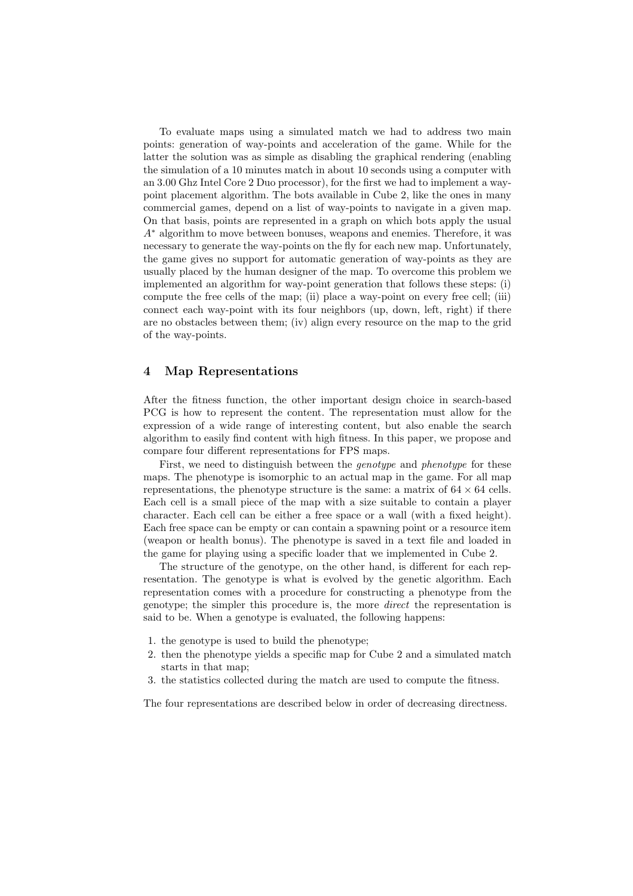To evaluate maps using a simulated match we had to address two main points: generation of way-points and acceleration of the game. While for the latter the solution was as simple as disabling the graphical rendering (enabling the simulation of a 10 minutes match in about 10 seconds using a computer with an 3.00 Ghz Intel Core 2 Duo processor), for the first we had to implement a waypoint placement algorithm. The bots available in Cube 2, like the ones in many commercial games, depend on a list of way-points to navigate in a given map. On that basis, points are represented in a graph on which bots apply the usual A<sup>∗</sup> algorithm to move between bonuses, weapons and enemies. Therefore, it was necessary to generate the way-points on the fly for each new map. Unfortunately, the game gives no support for automatic generation of way-points as they are usually placed by the human designer of the map. To overcome this problem we implemented an algorithm for way-point generation that follows these steps: (i) compute the free cells of the map; (ii) place a way-point on every free cell; (iii) connect each way-point with its four neighbors (up, down, left, right) if there are no obstacles between them; (iv) align every resource on the map to the grid of the way-points.

## 4 Map Representations

After the fitness function, the other important design choice in search-based PCG is how to represent the content. The representation must allow for the expression of a wide range of interesting content, but also enable the search algorithm to easily find content with high fitness. In this paper, we propose and compare four different representations for FPS maps.

First, we need to distinguish between the *genotype* and *phenotype* for these maps. The phenotype is isomorphic to an actual map in the game. For all map representations, the phenotype structure is the same: a matrix of  $64 \times 64$  cells. Each cell is a small piece of the map with a size suitable to contain a player character. Each cell can be either a free space or a wall (with a fixed height). Each free space can be empty or can contain a spawning point or a resource item (weapon or health bonus). The phenotype is saved in a text file and loaded in the game for playing using a specific loader that we implemented in Cube 2.

The structure of the genotype, on the other hand, is different for each representation. The genotype is what is evolved by the genetic algorithm. Each representation comes with a procedure for constructing a phenotype from the genotype; the simpler this procedure is, the more direct the representation is said to be. When a genotype is evaluated, the following happens:

- 1. the genotype is used to build the phenotype;
- 2. then the phenotype yields a specific map for Cube 2 and a simulated match starts in that map;
- 3. the statistics collected during the match are used to compute the fitness.

The four representations are described below in order of decreasing directness.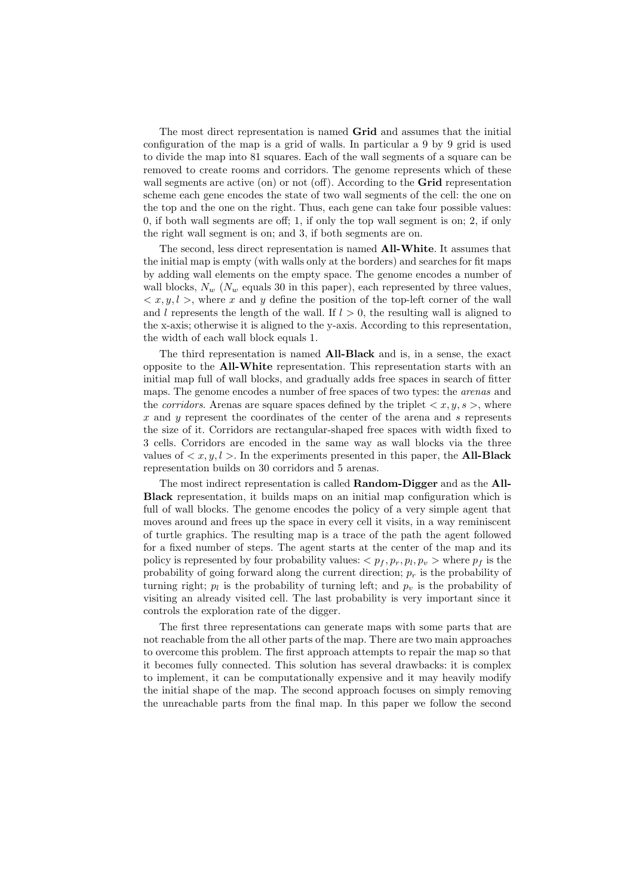The most direct representation is named Grid and assumes that the initial configuration of the map is a grid of walls. In particular a 9 by 9 grid is used to divide the map into 81 squares. Each of the wall segments of a square can be removed to create rooms and corridors. The genome represents which of these wall segments are active (on) or not (off). According to the **Grid** representation scheme each gene encodes the state of two wall segments of the cell: the one on the top and the one on the right. Thus, each gene can take four possible values: 0, if both wall segments are off; 1, if only the top wall segment is on; 2, if only the right wall segment is on; and 3, if both segments are on.

The second, less direct representation is named All-White. It assumes that the initial map is empty (with walls only at the borders) and searches for fit maps by adding wall elements on the empty space. The genome encodes a number of wall blocks,  $N_w$  ( $N_w$  equals 30 in this paper), each represented by three values,  $\langle x, y, l \rangle$ , where x and y define the position of the top-left corner of the wall and l represents the length of the wall. If  $l > 0$ , the resulting wall is aligned to the x-axis; otherwise it is aligned to the y-axis. According to this representation, the width of each wall block equals 1.

The third representation is named All-Black and is, in a sense, the exact opposite to the All-White representation. This representation starts with an initial map full of wall blocks, and gradually adds free spaces in search of fitter maps. The genome encodes a number of free spaces of two types: the *arenas* and the *corridors*. Arenas are square spaces defined by the triplet  $\langle x, y, s \rangle$ , where x and y represent the coordinates of the center of the arena and s represents the size of it. Corridors are rectangular-shaped free spaces with width fixed to 3 cells. Corridors are encoded in the same way as wall blocks via the three values of  $\langle x, y, l \rangle$ . In the experiments presented in this paper, the **All-Black** representation builds on 30 corridors and 5 arenas.

The most indirect representation is called Random-Digger and as the All-Black representation, it builds maps on an initial map configuration which is full of wall blocks. The genome encodes the policy of a very simple agent that moves around and frees up the space in every cell it visits, in a way reminiscent of turtle graphics. The resulting map is a trace of the path the agent followed for a fixed number of steps. The agent starts at the center of the map and its policy is represented by four probability values:  $\langle p_f, p_r, p_l, p_v \rangle$  where  $p_f$  is the probability of going forward along the current direction;  $p_r$  is the probability of turning right;  $p_l$  is the probability of turning left; and  $p_v$  is the probability of visiting an already visited cell. The last probability is very important since it controls the exploration rate of the digger.

The first three representations can generate maps with some parts that are not reachable from the all other parts of the map. There are two main approaches to overcome this problem. The first approach attempts to repair the map so that it becomes fully connected. This solution has several drawbacks: it is complex to implement, it can be computationally expensive and it may heavily modify the initial shape of the map. The second approach focuses on simply removing the unreachable parts from the final map. In this paper we follow the second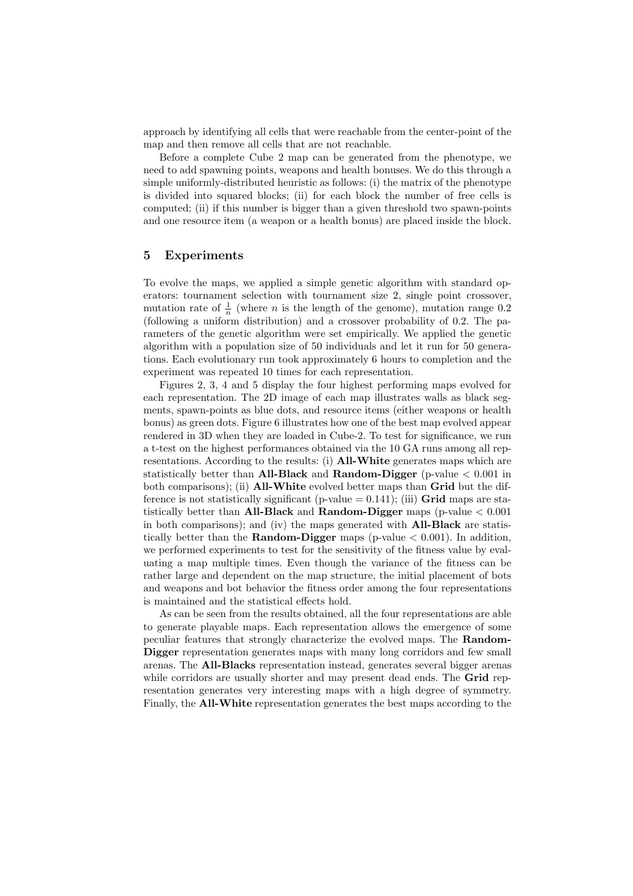approach by identifying all cells that were reachable from the center-point of the map and then remove all cells that are not reachable.

Before a complete Cube 2 map can be generated from the phenotype, we need to add spawning points, weapons and health bonuses. We do this through a simple uniformly-distributed heuristic as follows: (i) the matrix of the phenotype is divided into squared blocks; (ii) for each block the number of free cells is computed; (ii) if this number is bigger than a given threshold two spawn-points and one resource item (a weapon or a health bonus) are placed inside the block.

### 5 Experiments

To evolve the maps, we applied a simple genetic algorithm with standard operators: tournament selection with tournament size 2, single point crossover, mutation rate of  $\frac{1}{n}$  (where *n* is the length of the genome), mutation range 0.2 (following a uniform distribution) and a crossover probability of 0.2. The parameters of the genetic algorithm were set empirically. We applied the genetic algorithm with a population size of 50 individuals and let it run for 50 generations. Each evolutionary run took approximately 6 hours to completion and the experiment was repeated 10 times for each representation.

Figures 2, 3, 4 and 5 display the four highest performing maps evolved for each representation. The 2D image of each map illustrates walls as black segments, spawn-points as blue dots, and resource items (either weapons or health bonus) as green dots. Figure 6 illustrates how one of the best map evolved appear rendered in 3D when they are loaded in Cube-2. To test for significance, we run a t-test on the highest performances obtained via the 10 GA runs among all representations. According to the results: (i) All-White generates maps which are statistically better than **All-Black** and **Random-Digger** (p-value  $< 0.001$  in both comparisons); (ii) **All-White** evolved better maps than **Grid** but the difference is not statistically significant (p-value  $= 0.141$ ); (iii) Grid maps are statistically better than **All-Black** and **Random-Digger** maps (p-value  $< 0.001$ in both comparisons); and (iv) the maps generated with All-Black are statistically better than the **Random-Digger** maps (p-value  $\lt$  0.001). In addition, we performed experiments to test for the sensitivity of the fitness value by evaluating a map multiple times. Even though the variance of the fitness can be rather large and dependent on the map structure, the initial placement of bots and weapons and bot behavior the fitness order among the four representations is maintained and the statistical effects hold.

As can be seen from the results obtained, all the four representations are able to generate playable maps. Each representation allows the emergence of some peculiar features that strongly characterize the evolved maps. The Random-Digger representation generates maps with many long corridors and few small arenas. The All-Blacks representation instead, generates several bigger arenas while corridors are usually shorter and may present dead ends. The **Grid** representation generates very interesting maps with a high degree of symmetry. Finally, the All-White representation generates the best maps according to the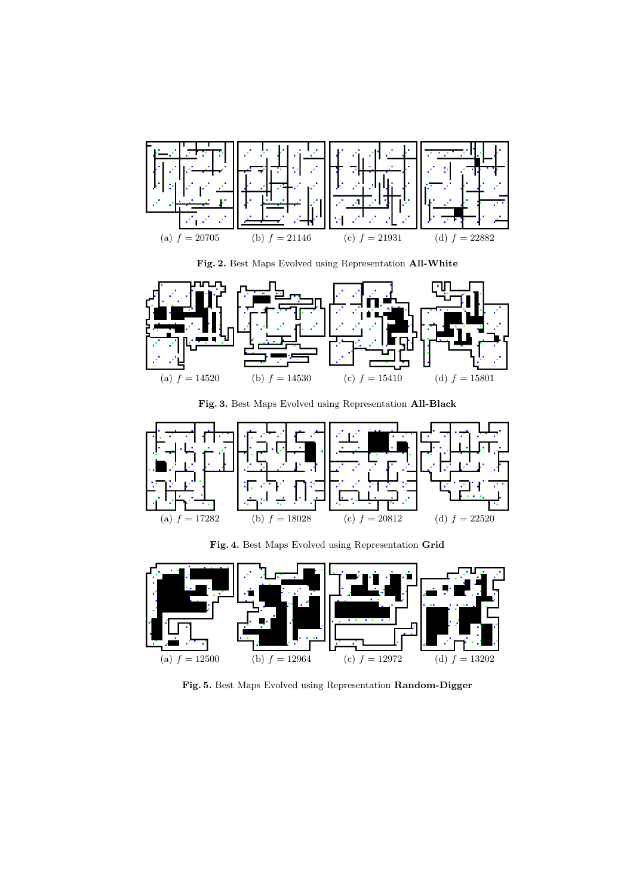

Fig. 2. Best Maps Evolved using Representation All-White



Fig. 3. Best Maps Evolved using Representation All-Black



Fig. 4. Best Maps Evolved using Representation Grid



Fig. 5. Best Maps Evolved using Representation Random-Digger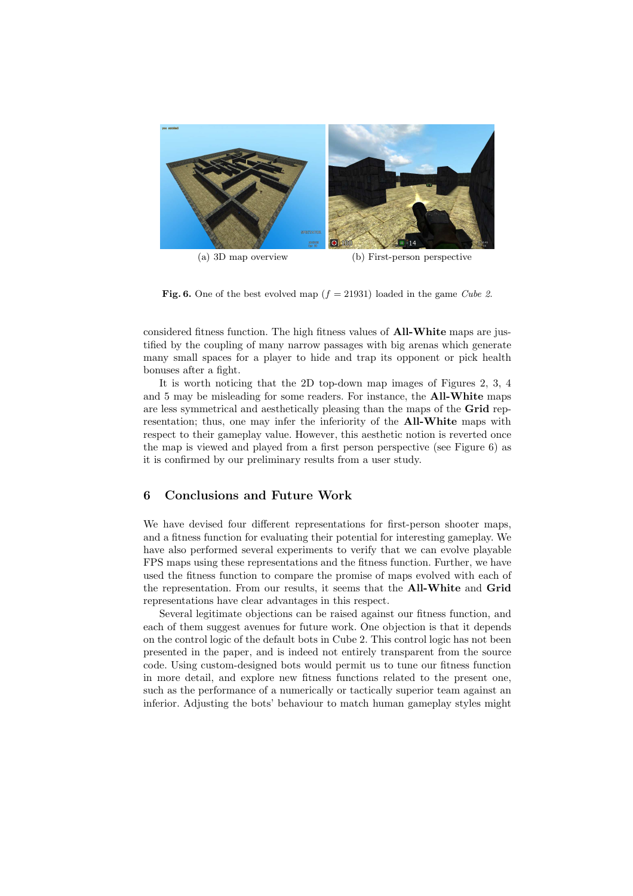

(a) 3D map overview (b) First-person perspective

Fig. 6. One of the best evolved map  $(f = 21931)$  loaded in the game Cube 2.

considered fitness function. The high fitness values of All-White maps are justified by the coupling of many narrow passages with big arenas which generate many small spaces for a player to hide and trap its opponent or pick health bonuses after a fight.

It is worth noticing that the 2D top-down map images of Figures 2, 3, 4 and 5 may be misleading for some readers. For instance, the **All-White** maps are less symmetrical and aesthetically pleasing than the maps of the Grid representation; thus, one may infer the inferiority of the All-White maps with respect to their gameplay value. However, this aesthetic notion is reverted once the map is viewed and played from a first person perspective (see Figure 6) as it is confirmed by our preliminary results from a user study.

## 6 Conclusions and Future Work

We have devised four different representations for first-person shooter maps, and a fitness function for evaluating their potential for interesting gameplay. We have also performed several experiments to verify that we can evolve playable FPS maps using these representations and the fitness function. Further, we have used the fitness function to compare the promise of maps evolved with each of the representation. From our results, it seems that the All-White and Grid representations have clear advantages in this respect.

Several legitimate objections can be raised against our fitness function, and each of them suggest avenues for future work. One objection is that it depends on the control logic of the default bots in Cube 2. This control logic has not been presented in the paper, and is indeed not entirely transparent from the source code. Using custom-designed bots would permit us to tune our fitness function in more detail, and explore new fitness functions related to the present one, such as the performance of a numerically or tactically superior team against an inferior. Adjusting the bots' behaviour to match human gameplay styles might